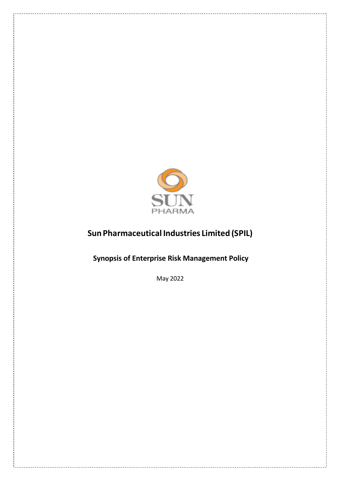

# **SunPharmaceutical Industries Limited (SPIL)**

**Synopsis of Enterprise Risk Management Policy**

May 2022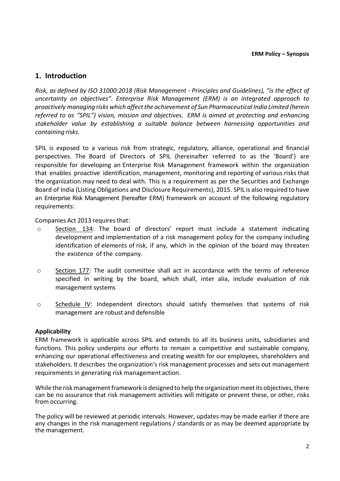### **1. Introduction**

*Risk, as defined by ISO 31000:2018 (Risk Management - Principles and Guidelines), "is the effect of uncertainty on objectives". Enterprise Risk Management (ERM) is an integrated approach to proactively managing risks which affectthe achievement of Sun Pharmaceutical India Limited (herein referred to as "SPIL") vision, mission and objectives. ERM is aimed at protecting and enhancing stakeholder value by establishing a suitable balance between harnessing opportunities and containing risks.*

SPIL is exposed to a various risk from strategic, regulatory, alliance, operational and financial perspectives. The Board of Directors of SPIL (hereinafter referred to as the 'Board') are responsible for developing an Enterprise Risk Management framework within the organization that enables proactive identification, management, monitoring and reporting of various risks that the organization may need to deal with. This is a requirement as per the Securities and Exchange Board of India (Listing Obligations and Disclosure Requirements), 2015. SPIL is also required to have an Enterprise Risk Management (hereafter ERM) framework on account of the following regulatory requirements:

Companies Act 2013 requires that:

- $\circ$  Section 134: The board of directors' report must include a statement indicating development and implementation of a risk management policy for the company including identification of elements of risk, if any, which in the opinion of the board may threaten the existence of the company.
- o Section 177: The audit committee shall act in accordance with the terms of reference specified in writing by the board, which shall, inter alia, include evaluation of risk management systems
- o Schedule IV: Independent directors should satisfy themselves that systems of risk management are robust and defensible

#### **Applicability**

ERM framework is applicable across SPIL and extends to all its business units, subsidiaries and functions. This policy underpins our efforts to remain a competitive and sustainable company, enhancing our operational effectiveness and creating wealth for our employees, shareholders and stakeholders. It describes the organization's risk management processes and sets out management requirements in generating risk management action.

While the risk management framework is designed to help the organization meet its objectives, there can be no assurance that risk management activities will mitigate or prevent these, or other, risks from occurring.

The policy will be reviewed at periodic intervals. However, updates may be made earlier if there are any changes in the risk management regulations / standards or as may be deemed appropriate by the management.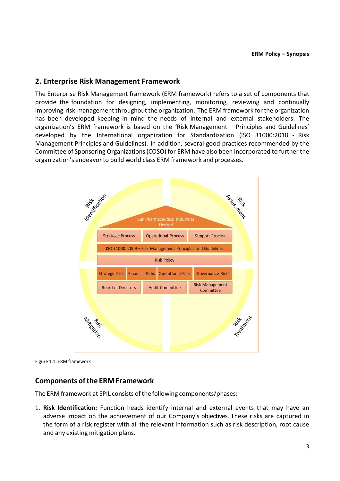## **2. Enterprise Risk Management Framework**

The Enterprise Risk Management framework (ERM framework) refers to a set of components that provide the foundation for designing, implementing, monitoring, reviewing and continually improving risk management throughout the organization. The ERM framework for the organization has been developed keeping in mind the needs of internal and external stakeholders. The organization's ERM framework is based on the 'Risk Management – Principles and Guidelines' developed by the International organization for Standardization (ISO 31000:2018 - Risk Management Principles and Guidelines). In addition, several good practices recommended by the Committee of Sponsoring Organizations(COSO) for ERM have also been incorporated to further the organization's endeavor to build world class ERM framework and processes.



Figure 1.1: ERM framework

## **Components ofthe ERMFramework**

The ERM framework at SPIL consists of the following components/phases:

1. **Risk Identification:** Function heads identify internal and external events that may have an adverse impact on the achievement of our Company's objectives. These risks are captured in the form of a risk register with all the relevant information such as risk description, root cause and any existing mitigation plans.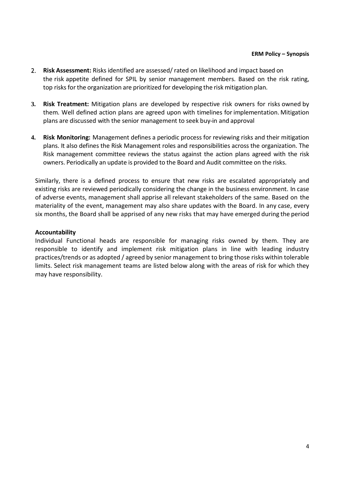- 2. **Risk Assessment:** Risks identified are assessed/ rated on likelihood and impact based on the risk appetite defined for SPIL by senior management members. Based on the risk rating, top risks forthe organization are prioritized for developing the risk mitigation plan.
- **3. Risk Treatment:** Mitigation plans are developed by respective risk owners for risks owned by them. Well defined action plans are agreed upon with timelines for implementation. Mitigation plans are discussed with the senior management to seek buy-in and approval
- **4. Risk Monitoring:** Management defines a periodic process for reviewing risks and their mitigation plans. It also defines the Risk Management roles and responsibilities across the organization. The Risk management committee reviews the status against the action plans agreed with the risk owners. Periodically an update is provided to the Board and Audit committee on the risks.

Similarly, there is a defined process to ensure that new risks are escalated appropriately and existing risks are reviewed periodically considering the change in the business environment. In case of adverse events, management shall apprise all relevant stakeholders of the same. Based on the materiality of the event, management may also share updates with the Board. In any case, every six months, the Board shall be apprised of any new risks that may have emerged during the period

#### **Accountability**

Individual Functional heads are responsible for managing risks owned by them. They are responsible to identify and implement risk mitigation plans in line with leading industry practices/trends or as adopted / agreed by senior management to bring those risks within tolerable limits. Select risk management teams are listed below along with the areas of risk for which they may have responsibility.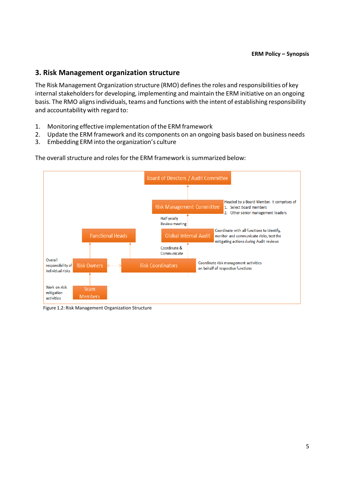## **3. Risk Management organization structure**

The Risk Management Organization structure (RMO) definesthe roles and responsibilities of key internal stakeholders for developing, implementing and maintain the ERM initiative on an ongoing basis. The RMO aligns individuals, teams and functions with the intent of establishing responsibility and accountability with regard to:

- 1. Monitoring effective implementation of the ERM framework
- 2. Update the ERM framework and its components on an ongoing basis based on business needs
- 3. Embedding ERM into the organization's culture



The overall structure and roles for the ERM framework is summarized below:

Figure 1.2: Risk Management Organization Structure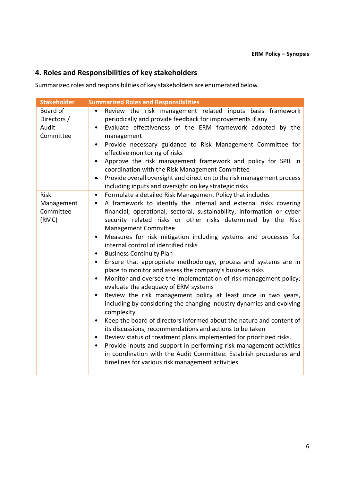## **4. Roles and Responsibilities of key stakeholders**

Summarized roles and responsibilities of key stakeholders are enumerated below.

| <b>Stakeholder</b>                              | <b>Summarized Roles and Responsibilities</b>                                                                                                                                                                                                                                                                                                                                                                                                                                                                                                                                                                                                                                                                                                                                                                                                                                                                                                                                                                                                                                                                                                                                                                                                                                                                                                             |
|-------------------------------------------------|----------------------------------------------------------------------------------------------------------------------------------------------------------------------------------------------------------------------------------------------------------------------------------------------------------------------------------------------------------------------------------------------------------------------------------------------------------------------------------------------------------------------------------------------------------------------------------------------------------------------------------------------------------------------------------------------------------------------------------------------------------------------------------------------------------------------------------------------------------------------------------------------------------------------------------------------------------------------------------------------------------------------------------------------------------------------------------------------------------------------------------------------------------------------------------------------------------------------------------------------------------------------------------------------------------------------------------------------------------|
| Board of<br>Directors /<br>Audit<br>Committee   | Review the risk management related inputs basis framework<br>periodically and provide feedback for improvements if any<br>Evaluate effectiveness of the ERM framework adopted by the<br>$\bullet$<br>management<br>Provide necessary guidance to Risk Management Committee for<br>$\bullet$<br>effective monitoring of risks<br>Approve the risk management framework and policy for SPIL in<br>$\spadesuit$<br>coordination with the Risk Management Committee<br>Provide overall oversight and direction to the risk management process<br>$\blacksquare$<br>including inputs and oversight on key strategic risks                                                                                                                                                                                                                                                                                                                                                                                                                                                                                                                                                                                                                                                                                                                                     |
| <b>Risk</b><br>Management<br>Committee<br>(RMC) | Formulate a detailed Risk Management Policy that includes<br>$\bullet$<br>A framework to identify the internal and external risks covering<br>$\bullet$<br>financial, operational, sectoral, sustainability, information or cyber<br>security related risks or other risks determined by the Risk<br>Management Committee<br>Measures for risk mitigation including systems and processes for<br>$\bullet$<br>internal control of identified risks<br><b>Business Continuity Plan</b><br>Ensure that appropriate methodology, process and systems are in<br>$\bullet$<br>place to monitor and assess the company's business risks<br>Monitor and oversee the implementation of risk management policy;<br>evaluate the adequacy of ERM systems<br>Review the risk management policy at least once in two years,<br>including by considering the changing industry dynamics and evolving<br>complexity<br>Keep the board of directors informed about the nature and content of<br>$\bullet$<br>its discussions, recommendations and actions to be taken<br>Review status of treatment plans implemented for prioritized risks.<br>$\bullet$<br>Provide inputs and support in performing risk management activities<br>$\bullet$<br>in coordination with the Audit Committee. Establish procedures and<br>timelines for various risk management activities |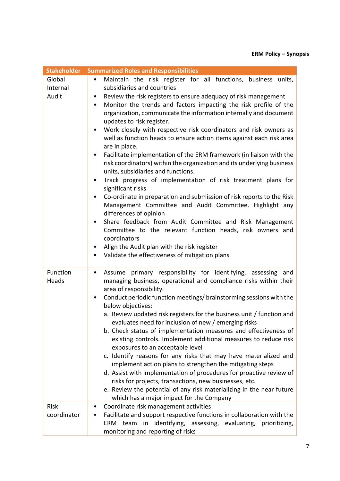| <b>Stakeholder</b> | <b>Summarized Roles and Responsibilities</b>                                                                                                           |
|--------------------|--------------------------------------------------------------------------------------------------------------------------------------------------------|
| Global             | Maintain the risk register for all functions, business units,<br>$\bullet$                                                                             |
| Internal           | subsidiaries and countries                                                                                                                             |
| Audit              | Review the risk registers to ensure adequacy of risk management<br>$\bullet$                                                                           |
|                    | Monitor the trends and factors impacting the risk profile of the<br>$\bullet$                                                                          |
|                    | organization, communicate the information internally and document                                                                                      |
|                    | updates to risk register.                                                                                                                              |
|                    | Work closely with respective risk coordinators and risk owners as<br>$\bullet$<br>well as function heads to ensure action items against each risk area |
|                    | are in place.                                                                                                                                          |
|                    | Facilitate implementation of the ERM framework (in liaison with the<br>$\bullet$                                                                       |
|                    | risk coordinators) within the organization and its underlying business                                                                                 |
|                    | units, subsidiaries and functions.                                                                                                                     |
|                    | Track progress of implementation of risk treatment plans for<br>٠                                                                                      |
|                    | significant risks                                                                                                                                      |
|                    | Co-ordinate in preparation and submission of risk reports to the Risk<br>$\bullet$                                                                     |
|                    | Management Committee and Audit Committee. Highlight any                                                                                                |
|                    | differences of opinion<br>Share feedback from Audit Committee and Risk Management<br>$\bullet$                                                         |
|                    | Committee to the relevant function heads, risk owners and                                                                                              |
|                    | coordinators                                                                                                                                           |
|                    | Align the Audit plan with the risk register<br>$\bullet$                                                                                               |
|                    | • Validate the effectiveness of mitigation plans                                                                                                       |
|                    |                                                                                                                                                        |
| Function           | Assume primary responsibility for identifying, assessing and<br>$\bullet$                                                                              |
| Heads              | managing business, operational and compliance risks within their                                                                                       |
|                    | area of responsibility.                                                                                                                                |
|                    | Conduct periodic function meetings/brainstorming sessions with the<br>٠                                                                                |
|                    | below objectives:<br>a. Review updated risk registers for the business unit / function and                                                             |
|                    | evaluates need for inclusion of new / emerging risks                                                                                                   |
|                    | b. Check status of implementation measures and effectiveness of                                                                                        |
|                    | existing controls. Implement additional measures to reduce risk                                                                                        |
|                    | exposures to an acceptable level                                                                                                                       |
|                    | c. Identify reasons for any risks that may have materialized and                                                                                       |
|                    | implement action plans to strengthen the mitigating steps                                                                                              |
|                    | d. Assist with implementation of procedures for proactive review of                                                                                    |
|                    | risks for projects, transactions, new businesses, etc.                                                                                                 |
|                    | e. Review the potential of any risk materializing in the near future                                                                                   |
| <b>Risk</b>        | which has a major impact for the Company<br>Coordinate risk management activities                                                                      |
| coordinator        | Facilitate and support respective functions in collaboration with the                                                                                  |
|                    | ERM team in identifying, assessing, evaluating, prioritizing,                                                                                          |
|                    | monitoring and reporting of risks                                                                                                                      |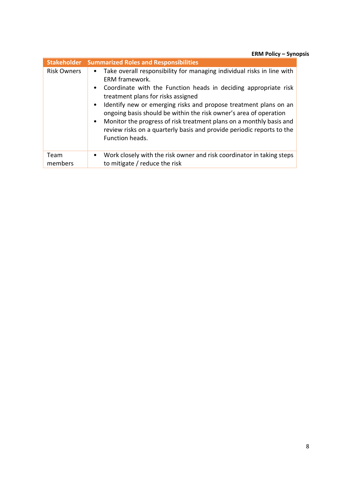**ERM Policy – Synopsis**

| <b>Stakeholder</b> | <b>Summarized Roles and Responsibilities</b>                                                                                                                                                                                                                                                                                                                                                                                                                                                                                                                             |
|--------------------|--------------------------------------------------------------------------------------------------------------------------------------------------------------------------------------------------------------------------------------------------------------------------------------------------------------------------------------------------------------------------------------------------------------------------------------------------------------------------------------------------------------------------------------------------------------------------|
| <b>Risk Owners</b> | Take overall responsibility for managing individual risks in line with<br>$\bullet$<br><b>ERM</b> framework.<br>Coordinate with the Function heads in deciding appropriate risk<br>$\bullet$<br>treatment plans for risks assigned<br>Identify new or emerging risks and propose treatment plans on an<br>$\bullet$<br>ongoing basis should be within the risk owner's area of operation<br>Monitor the progress of risk treatment plans on a monthly basis and<br>$\bullet$<br>review risks on a quarterly basis and provide periodic reports to the<br>Function heads. |
| Team<br>members    | Work closely with the risk owner and risk coordinator in taking steps<br>$\bullet$<br>to mitigate / reduce the risk                                                                                                                                                                                                                                                                                                                                                                                                                                                      |